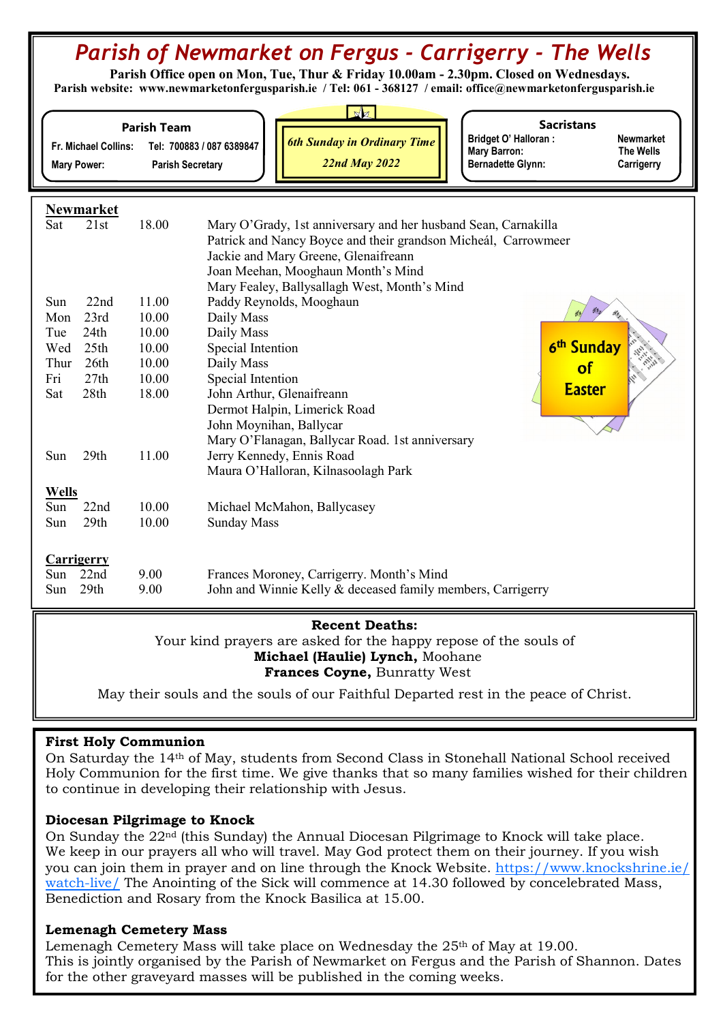# Parish of Newmarket on Fergus - Carrigerry - The Wells

 Parish Office open on Mon, Tue, Thur & Friday 10.00am - 2.30pm. Closed on Wednesdays. Parish website: www.newmarketonfergusparish.ie / Tel: 061 - 368127 / email: office@newmarketonfergusparish.ie

| Fr. Michael Collins:<br><b>Mary Power:</b>                                                                                   |                              | <b>Parish Team</b><br><b>Parish Secretary</b> | N<br><b>Sacristans</b><br><b>Bridget O' Halloran:</b><br><b>Newmarket</b><br><b>6th Sunday in Ordinary Time</b><br>Tel: 700883 / 087 6389847<br><b>Mary Barron:</b><br>The Wells<br><b>22nd May 2022</b><br><b>Bernadette Glynn:</b><br>Carrigerry |
|------------------------------------------------------------------------------------------------------------------------------|------------------------------|-----------------------------------------------|----------------------------------------------------------------------------------------------------------------------------------------------------------------------------------------------------------------------------------------------------|
| <b>Newmarket</b><br>Sat                                                                                                      | 21st                         | 18.00                                         | Mary O'Grady, 1st anniversary and her husband Sean, Carnakilla<br>Patrick and Nancy Boyce and their grandson Micheál, Carrowmeer<br>Jackie and Mary Greene, Glenaifreann<br>Joan Meehan, Mooghaun Month's Mind                                     |
| Sun<br>Mon<br>Tue<br>Wed                                                                                                     | 22nd<br>23rd<br>24th<br>25th | 11.00<br>10.00<br>10.00<br>10.00              | Mary Fealey, Ballysallagh West, Month's Mind<br>Paddy Reynolds, Mooghaun<br>Daily Mass<br>Daily Mass<br>6 <sup>th</sup> Sunday<br>Special Intention                                                                                                |
| Thur                                                                                                                         | 26th                         | 10.00                                         | Daily Mass<br>of                                                                                                                                                                                                                                   |
| Fri<br>Sat                                                                                                                   | 27th<br>28th                 | 10.00<br>18.00                                | Special Intention<br><b>Easter</b><br>John Arthur, Glenaifreann<br>Dermot Halpin, Limerick Road<br>John Moynihan, Ballycar<br>Mary O'Flanagan, Ballycar Road. 1st anniversary                                                                      |
| Sun                                                                                                                          | 29th                         | 11.00                                         | Jerry Kennedy, Ennis Road<br>Maura O'Halloran, Kilnasoolagh Park                                                                                                                                                                                   |
| <b>Wells</b><br>Sun<br>Sun                                                                                                   | 22nd<br>29th                 | 10.00<br>10.00                                | Michael McMahon, Ballycasey<br><b>Sunday Mass</b>                                                                                                                                                                                                  |
| <b>Carrigerry</b><br>Sun<br>Sun                                                                                              | 22nd<br>29th                 | 9.00<br>9.00                                  | Frances Moroney, Carrigerry. Month's Mind<br>John and Winnie Kelly & deceased family members, Carrigerry                                                                                                                                           |
| <b>Recent Deaths:</b><br>Your kind prayers are asked for the happy repose of the souls of<br>Michael (Haulie) Lynch, Moohane |                              |                                               |                                                                                                                                                                                                                                                    |

Frances Coyne, Bunratty West

May their souls and the souls of our Faithful Departed rest in the peace of Christ.

### First Holy Communion

On Saturday the 14th of May, students from Second Class in Stonehall National School received Holy Communion for the first time. We give thanks that so many families wished for their children to continue in developing their relationship with Jesus.

### Diocesan Pilgrimage to Knock

On Sunday the 22nd (this Sunday) the Annual Diocesan Pilgrimage to Knock will take place. We keep in our prayers all who will travel. May God protect them on their journey. If you wish you can join them in prayer and on line through the Knock Website. https://www.knockshrine.ie/ watch-live/ The Anointing of the Sick will commence at 14.30 followed by concelebrated Mass, Benediction and Rosary from the Knock Basilica at 15.00.

### Lemenagh Cemetery Mass

Lemenagh Cemetery Mass will take place on Wednesday the  $25<sup>th</sup>$  of May at 19.00. This is jointly organised by the Parish of Newmarket on Fergus and the Parish of Shannon. Dates for the other graveyard masses will be published in the coming weeks.